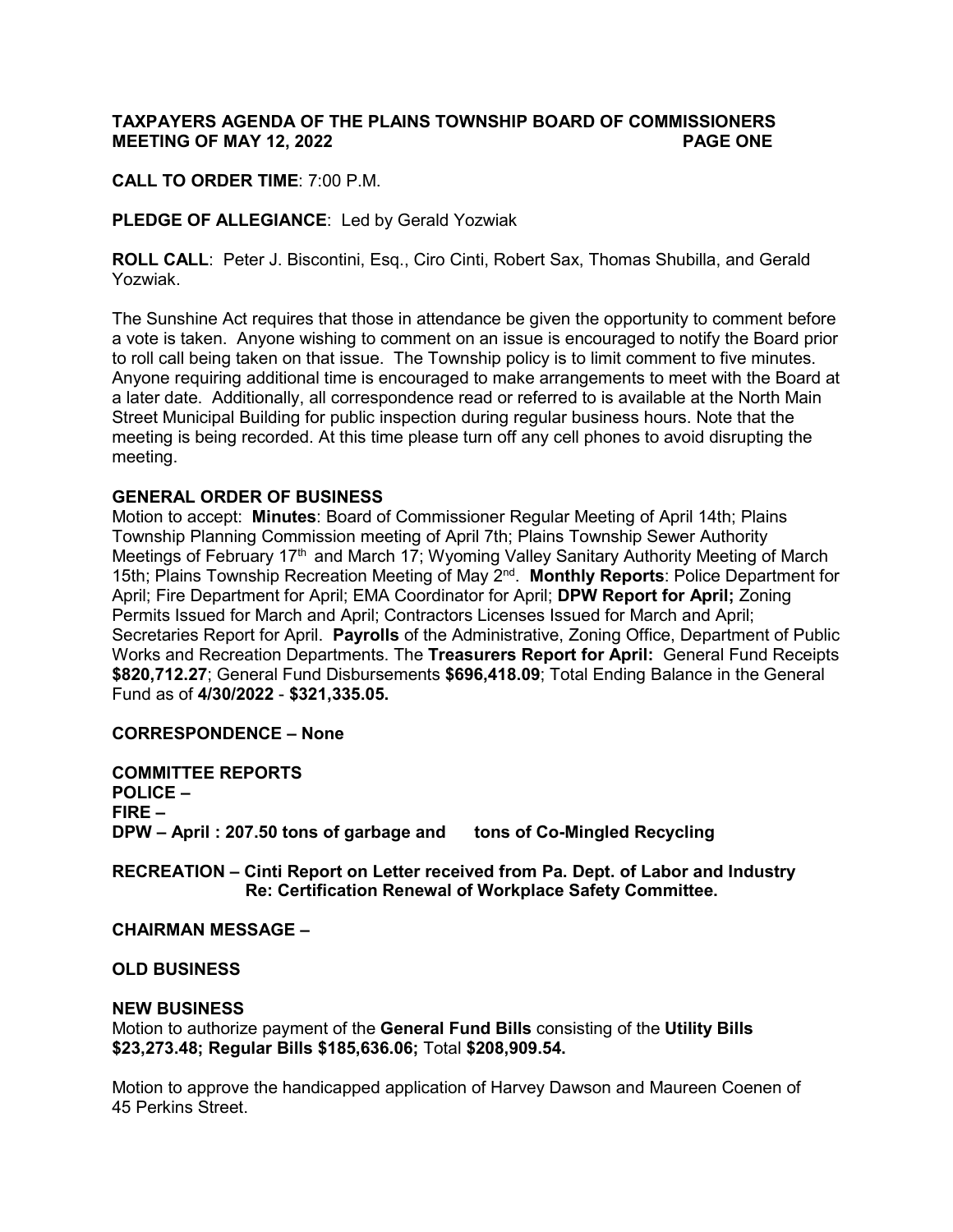# **TAXPAYERS AGENDA OF THE PLAINS TOWNSHIP BOARD OF COMMISSIONERS MEETING OF MAY 12, 2022 PAGE ONE**

**CALL TO ORDER TIME**: 7:00 P.M.

**PLEDGE OF ALLEGIANCE**: Led by Gerald Yozwiak

**ROLL CALL**: Peter J. Biscontini, Esq., Ciro Cinti, Robert Sax, Thomas Shubilla, and Gerald Yozwiak.

The Sunshine Act requires that those in attendance be given the opportunity to comment before a vote is taken. Anyone wishing to comment on an issue is encouraged to notify the Board prior to roll call being taken on that issue. The Township policy is to limit comment to five minutes. Anyone requiring additional time is encouraged to make arrangements to meet with the Board at a later date. Additionally, all correspondence read or referred to is available at the North Main Street Municipal Building for public inspection during regular business hours. Note that the meeting is being recorded. At this time please turn off any cell phones to avoid disrupting the meeting.

### **GENERAL ORDER OF BUSINESS**

Motion to accept: **Minutes**: Board of Commissioner Regular Meeting of April 14th; Plains Township Planning Commission meeting of April 7th; Plains Township Sewer Authority Meetings of February 17<sup>th</sup> and March 17; Wyoming Valley Sanitary Authority Meeting of March 15th; Plains Township Recreation Meeting of May 2nd. **Monthly Reports**: Police Department for April; Fire Department for April; EMA Coordinator for April; **DPW Report for April;** Zoning Permits Issued for March and April; Contractors Licenses Issued for March and April; Secretaries Report for April. **Payrolls** of the Administrative, Zoning Office, Department of Public Works and Recreation Departments. The **Treasurers Report for April:** General Fund Receipts **\$820,712.27**; General Fund Disbursements **\$696,418.09**; Total Ending Balance in the General Fund as of **4/30/2022** - **\$321,335.05.** 

### **CORRESPONDENCE – None**

**COMMITTEE REPORTS POLICE – FIRE – DPW – April : 207.50 tons of garbage and tons of Co-Mingled Recycling**

**RECREATION – Cinti Report on Letter received from Pa. Dept. of Labor and Industry Re: Certification Renewal of Workplace Safety Committee.** 

### **CHAIRMAN MESSAGE –**

### **OLD BUSINESS**

### **NEW BUSINESS**

Motion to authorize payment of the **General Fund Bills** consisting of the **Utility Bills \$23,273.48; Regular Bills \$185,636.06;** Total **\$208,909.54.** 

Motion to approve the handicapped application of Harvey Dawson and Maureen Coenen of 45 Perkins Street.